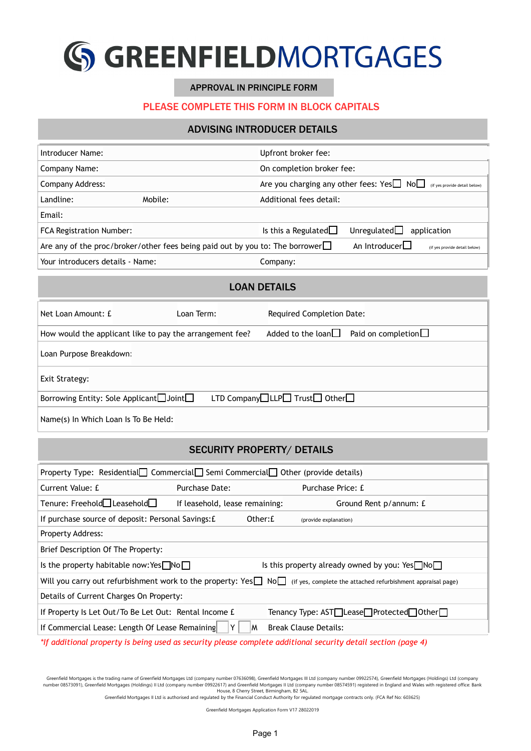

#### APPROVAL IN PRINCIPLE FORM

## PLEASE COMPLETE THIS FORM IN BLOCK CAPITALS

## ADVISING INTRODUCER DETAILS

| Introducer Name:                 |                                                                                     | Upfront broker fee:                                                                         |  |  |
|----------------------------------|-------------------------------------------------------------------------------------|---------------------------------------------------------------------------------------------|--|--|
| Company Name:                    |                                                                                     | On completion broker fee:                                                                   |  |  |
| Company Address:                 |                                                                                     | Are you charging any other fees: Yes<br>No<br>I No<br>No<br>I (if yes provide detail below) |  |  |
| Landline:                        | Mobile:                                                                             | Additional fees detail:                                                                     |  |  |
| Email:                           |                                                                                     |                                                                                             |  |  |
| <b>FCA Registration Number:</b>  |                                                                                     | Is this a Regulated $\Box$<br>Unregulated $\Box$<br>application                             |  |  |
|                                  | Are any of the proc/broker/other fees being paid out by you to: The borrower $\Box$ | An Introducer<br>(if yes provide detail below)                                              |  |  |
| Your introducers details - Name: |                                                                                     | Company:                                                                                    |  |  |

#### LOAN DETAILS

| Net Loan Amount: £                                       | Loan Term: I | <b>Required Completion Date:</b>                        |
|----------------------------------------------------------|--------------|---------------------------------------------------------|
| How would the applicant like to pay the arrangement fee? |              | Added to the loan $\Box$<br>Paid on completion $\Box$   |
| Loan Purpose Breakdown:                                  |              |                                                         |
| Exit Strategy:                                           |              |                                                         |
| Borrowing Entity: Sole Applicant□Joint□                  |              | LTD Company $\Box$ LLP $\Box$ Trust $\Box$ Other $\Box$ |
| Name(s) In Which Loan Is To Be Held:                     |              |                                                         |

# SECURITY PROPERTY/ DETAILS

| Property Type: Residential□ Commercial□ Semi Commercial□ Other (provide details) |                                |          |                                                                                                                             |  |
|----------------------------------------------------------------------------------|--------------------------------|----------|-----------------------------------------------------------------------------------------------------------------------------|--|
| Current Value: £                                                                 | Purchase Date:                 |          | Purchase Price: £                                                                                                           |  |
| Tenure: Freehold□ Leasehold□                                                     | If leasehold, lease remaining: |          | Ground Rent p/annum: £                                                                                                      |  |
| If purchase source of deposit: Personal Savings: £                               |                                | Other: £ | (provide explanation)                                                                                                       |  |
| <b>Property Address:</b>                                                         |                                |          |                                                                                                                             |  |
| Brief Description Of The Property:                                               |                                |          |                                                                                                                             |  |
| Is the property habitable now: Yes $\neg$ No $\neg$                              |                                |          | Is this property already owned by you: $Yes \Box No \Box$                                                                   |  |
|                                                                                  |                                |          | Will you carry out refurbishment work to the property: Yes NoM (if yes, complete the attached refurbishment appraisal page) |  |
| Details of Current Charges On Property:                                          |                                |          |                                                                                                                             |  |
| If Property Is Let Out/To Be Let Out: Rental Income £                            |                                |          | Tenancy Type: AST□Lease□Protected□Other□                                                                                    |  |
| If Commercial Lease: Length Of Lease Remaining                                   |                                | M        | <b>Break Clause Details:</b>                                                                                                |  |

*\*If additional property is being used as security please complete additional security detail section (page 4)*

Greenfield Mortgages is the trading name of Greenfield Mortgages Ltd (company number 07636098), Greenfield Mortgages III Ltd (company number 09922574), Greenfield Mortgages (Holdings) Ltd (company number 08573091), Greenfield Mortgages (Holdings) II Ltd (company number 09922617) and Greenfield Mortgages II Ltd (company number 08574591) registered in England and Wales with registered office: Bank<br>Greenfield Mortgages

Greenfield Mortgages Application Form V17 28022019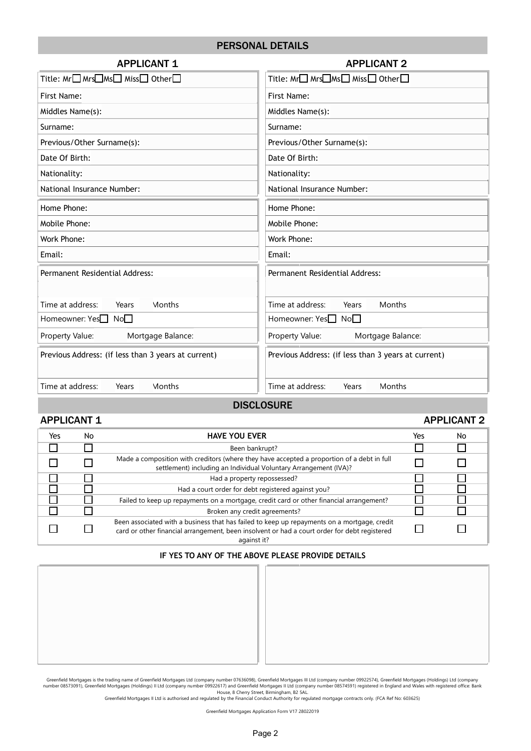# PERSONAL DETAILS

| <b>APPLICANT 1</b>                                  | <b>APPLICANT 2</b>                                  |  |
|-----------------------------------------------------|-----------------------------------------------------|--|
| Title: Mr□ Mrs□Ms□ Miss□ Other□                     | Title: Mr□ Mrs□Ms□ Miss□ Other□                     |  |
| First Name:                                         | First Name:                                         |  |
| Middles Name(s):                                    | Middles Name(s):                                    |  |
| Surname:                                            | Surname:                                            |  |
| Previous/Other Surname(s):                          | Previous/Other Surname(s):                          |  |
| Date Of Birth:                                      | Date Of Birth:                                      |  |
| Nationality:                                        | Nationality:                                        |  |
| National Insurance Number:                          | National Insurance Number:                          |  |
| Home Phone:                                         | Home Phone:                                         |  |
| Mobile Phone:                                       | Mobile Phone:                                       |  |
| Work Phone:                                         | Work Phone:                                         |  |
| Email:                                              | Email:                                              |  |
| Permanent Residential Address:                      | Permanent Residential Address:                      |  |
|                                                     |                                                     |  |
| Time at address:<br>Months<br>Years                 | Time at address:<br>Months<br>Years                 |  |
| Homeowner: Yes <sup>1</sup> No <sup>1</sup>         | Homeowner: Yes□ No□                                 |  |
| Mortgage Balance:<br>Property Value:                | Mortgage Balance:<br>Property Value:                |  |
| Previous Address: (if less than 3 years at current) | Previous Address: (if less than 3 years at current) |  |
| Time at address:<br>Months<br>Years                 | Time at address:<br>Months<br>Years                 |  |
|                                                     |                                                     |  |

#### **DISCLOSURE**

#### APPLICANT 1 APPLICANT 2

| Yes | No | <b>HAVE YOU EVER</b>                                                                                                                                                                                       | Yes | No |
|-----|----|------------------------------------------------------------------------------------------------------------------------------------------------------------------------------------------------------------|-----|----|
|     |    | Been bankrupt?                                                                                                                                                                                             |     |    |
|     |    | Made a composition with creditors (where they have accepted a proportion of a debt in full<br>settlement) including an Individual Voluntary Arrangement (IVA)?                                             |     |    |
|     |    | Had a property repossessed?                                                                                                                                                                                |     |    |
|     |    | Had a court order for debt registered against you?                                                                                                                                                         |     |    |
|     |    | Failed to keep up repayments on a mortgage, credit card or other financial arrangement?                                                                                                                    |     |    |
|     |    | Broken any credit agreements?                                                                                                                                                                              |     |    |
|     |    | Been associated with a business that has failed to keep up repayments on a mortgage, credit<br>card or other financial arrangement, been insolvent or had a court order for debt registered<br>against it? |     |    |

#### **IF YES TO ANY OF THE ABOVE PLEASE PROVIDE DETAILS**

Greenfield Mortgages is the trading name of Greenfield Mortgages Ltd (company number 07636098), Greenfield Mortgages III Ltd (company number 09922574), Greenfield Mortgages (Holdings) Ltd (company number 09922574), and the

Greenfield Mortgages Application Form V17 28022019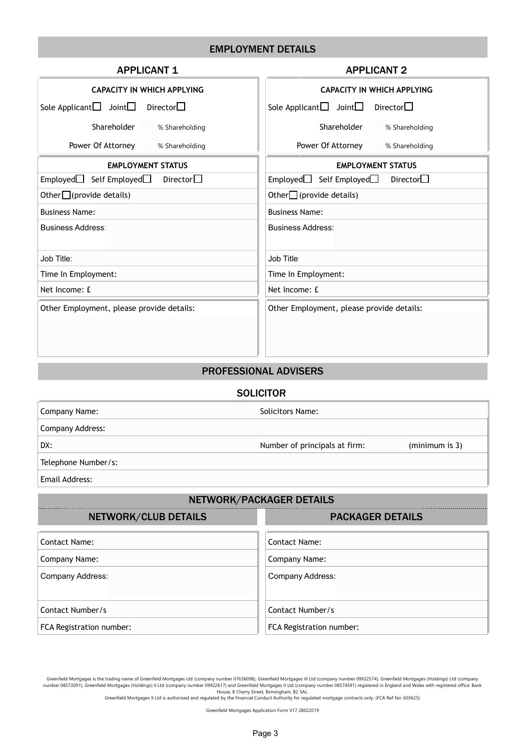# EMPLOYMENT DETAILS

| <b>APPLICANT 1</b>                                       | <b>APPLICANT 2</b>                                             |  |  |
|----------------------------------------------------------|----------------------------------------------------------------|--|--|
| <b>CAPACITY IN WHICH APPLYING</b>                        | <b>CAPACITY IN WHICH APPLYING</b>                              |  |  |
| Director $\square$<br>Sole Applicant $\Box$ Joint $\Box$ | Sole Applicant $\square$ Joint $\square$<br>Director $\square$ |  |  |
| Shareholder<br>% Shareholding                            | Shareholder<br>% Shareholding                                  |  |  |
| Power Of Attorney<br>% Shareholding                      | Power Of Attorney<br>% Shareholding                            |  |  |
| <b>EMPLOYMENT STATUS</b>                                 | <b>EMPLOYMENT STATUS</b>                                       |  |  |
| Director $\square$<br>$Emploved$ Self Employed           | Director $\square$<br>Employed $\Box$<br>Self Employed□        |  |  |
| Other $\Box$ (provide details)                           | Other $\Box$ (provide details)                                 |  |  |
| <b>Business Name:</b>                                    | <b>Business Name:</b>                                          |  |  |
| <b>Business Address:</b>                                 | <b>Business Address:</b>                                       |  |  |
| Job Title                                                | Job Title:                                                     |  |  |
| Time In Employment:                                      | Time In Employment:                                            |  |  |
| Net Income: £                                            | Net Income: £                                                  |  |  |
| Other Employment, please provide details:                | Other Employment, please provide details:                      |  |  |

# PROFESSIONAL ADVISERS

#### **SOLICITOR**

| Company Name:       | Solicitors Name:              |                |
|---------------------|-------------------------------|----------------|
| Company Address:    |                               |                |
| DX:                 | Number of principals at firm: | (minimum is 3) |
| Telephone Number/s: |                               |                |
|                     |                               |                |

Email Address:

# NETWORK/PACKAGER DETAILS

| NETWORK/CLUB DETAILS     | <b>PACKAGER DETAILS</b>  |
|--------------------------|--------------------------|
| Contact Name:            | <b>Contact Name:</b>     |
| Company Name:            | Company Name:            |
| Company Address:         | Company Address:         |
| Contact Number/s         | Contact Number/s         |
| FCA Registration number: | FCA Registration number: |

Greenfield Mortgages is the trading name of Greenfield Mortgages Ltd (company number 07636098), Greenfield Mortgages III Ltd (company number 09922574), Greenfield Mortgages (Holdings) Ltd (company number 09922574), Greenfi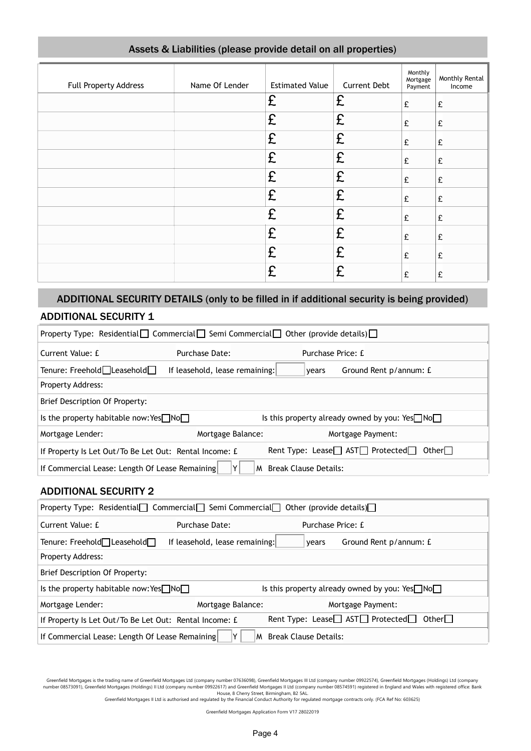| Full Property Address | Name Of Lender | <b>Estimated Value</b> | <b>Current Debt</b> | Monthly<br>Mortgage<br>Payment | Monthly Rental<br>Income |
|-----------------------|----------------|------------------------|---------------------|--------------------------------|--------------------------|
|                       |                | £                      | £                   | £                              | £                        |
|                       |                | £                      | £                   | £                              | £                        |
|                       |                | £                      | £                   | £                              | £                        |
|                       |                | £                      | £                   | £                              | £                        |
|                       |                | £                      | £                   | £                              | £                        |
|                       |                | £                      | £                   | £                              | £                        |
|                       |                | £                      | £                   | £                              | £                        |
|                       |                | £                      | £                   | £                              | £                        |
|                       |                | £                      | £                   | £                              | £                        |
|                       |                | £                      | £                   | £                              | £                        |

# Assets & Liabilities (please provide detail on all properties)

# ADDITIONAL SECURITY DETAILS (only to be filled in if additional security is being provided)

# ADDITIONAL SECURITY 1

| Property Type: Residential $\Box$ Commercial $\Box$ Semi Commercial $\Box$ Other (provide details) $\Box$ |                                |                                                           |  |
|-----------------------------------------------------------------------------------------------------------|--------------------------------|-----------------------------------------------------------|--|
| Current Value: £                                                                                          | Purchase Date:                 | Purchase Price: £                                         |  |
| Tenure: Freehold□Leasehold□                                                                               | If leasehold, lease remaining: | Ground Rent p/annum: £<br>vears                           |  |
| <b>Property Address:</b>                                                                                  |                                |                                                           |  |
| Brief Description Of Property:                                                                            |                                |                                                           |  |
| Is the property habitable now: Yes $\Box$ No $\Box$                                                       |                                | Is this property already owned by you: $Yes \Box No \Box$ |  |
| Mortgage Lender:                                                                                          | Mortgage Balance:              | Mortgage Payment:                                         |  |
| If Property Is Let Out/To Be Let Out: Rental Income: £                                                    |                                | Rent Type: Lease□ AST□ Protected□<br>Other $\Box$         |  |
| If Commercial Lease: Length Of Lease Remaining                                                            |                                | M Break Clause Details:                                   |  |

# ADDITIONAL SECURITY 2

| Property Type: Residential $\Box$ Commercial Semi Commercial $\Box$ Other (provide details) $\Box$ |                                |                                                                 |  |
|----------------------------------------------------------------------------------------------------|--------------------------------|-----------------------------------------------------------------|--|
| Current Value: £                                                                                   | Purchase Date:                 | Purchase Price: £                                               |  |
| Tenure: Freehold□Leasehold□                                                                        | If leasehold, lease remaining: | Ground Rent p/annum: £<br>vears                                 |  |
| <b>Property Address:</b>                                                                           |                                |                                                                 |  |
| Brief Description Of Property:                                                                     |                                |                                                                 |  |
| Is the property habitable now: Yes $\Box$ No $\Box$                                                |                                | Is this property already owned by you: $Yes \Box No \Box$       |  |
| Mortgage Lender:                                                                                   | Mortgage Balance:              | Mortgage Payment:                                               |  |
| If Property Is Let Out/To Be Let Out: Rental Income: £                                             |                                | Rent Type: Lease $\Box$ AST $\Box$ Protected $\Box$<br>Otherl I |  |
| If Commercial Lease: Length Of Lease Remaining<br><b>Break Clause Details:</b><br>M                |                                |                                                                 |  |

Greenfield Mortgages is the trading name of Greenfield Mortgages Ltd (company number 07636098), Greenfield Mortgages III Ltd (company number 09922574), Greenfield Mortgages (Holdings) Ltd (company number 09574591) register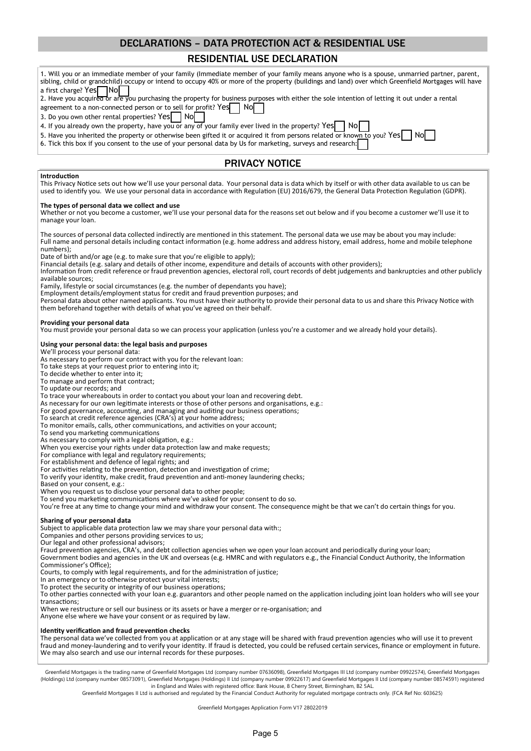# DECLARATIONS – DATA PROTECTION ACT & RESIDENTIAL USE

# RESIDENTIAL USE DECLARATION

| 1. Will you or an immediate member of your family (Immediate member of your family means anyone who is a spouse, unmarried partner, parent,<br>sibling, child or grandchild) occupy or intend to occupy 40% or more of the property (buildings and land) over which Greenfield Mortgages will have                                                                                                                                                               |
|------------------------------------------------------------------------------------------------------------------------------------------------------------------------------------------------------------------------------------------------------------------------------------------------------------------------------------------------------------------------------------------------------------------------------------------------------------------|
| a first charge? Yes<br><b>INol</b><br>2. Have you acquired or are you purchasing the property for business purposes with either the sole intention of letting it out under a rental<br>agreement to a non-connected person or to sell for profit? Yes<br>Nol                                                                                                                                                                                                     |
| 3. Do you own other rental properties? Yes<br>Nol<br>4. If you already own the property, have you or any of your family ever lived in the property? Yes<br>Nol                                                                                                                                                                                                                                                                                                   |
| 5. Have you inherited the property or otherwise been gifted it or acquired it from persons related or known to you? Yes<br>No<br>6. Tick this box if you consent to the use of your personal data by Us for marketing, surveys and research:                                                                                                                                                                                                                     |
| <b>PRIVACY NOTICE</b>                                                                                                                                                                                                                                                                                                                                                                                                                                            |
| Introduction                                                                                                                                                                                                                                                                                                                                                                                                                                                     |
| This Privacy Notice sets out how we'll use your personal data. Your personal data is data which by itself or with other data available to us can be<br>used to identify you. We use your personal data in accordance with Regulation (EU) 2016/679, the General Data Protection Regulation (GDPR).                                                                                                                                                               |
| The types of personal data we collect and use<br>Whether or not you become a customer, we'll use your personal data for the reasons set out below and if you become a customer we'll use it to<br>manage your loan.                                                                                                                                                                                                                                              |
| The sources of personal data collected indirectly are mentioned in this statement. The personal data we use may be about you may include:<br>Full name and personal details including contact information (e.g. home address and address history, email address, home and mobile telephone<br>numbers);                                                                                                                                                          |
| Date of birth and/or age (e.g. to make sure that you're eligible to apply);<br>Financial details (e.g. salary and details of other income, expenditure and details of accounts with other providers);<br>Information from credit reference or fraud prevention agencies, electoral roll, court records of debt judgements and bankruptcies and other publicly<br>available sources;                                                                              |
| Family, lifestyle or social circumstances (e.g. the number of dependants you have);<br>Employment details/employment status for credit and fraud prevention purposes; and                                                                                                                                                                                                                                                                                        |
| Personal data about other named applicants. You must have their authority to provide their personal data to us and share this Privacy Notice with<br>them beforehand together with details of what you've agreed on their behalf.                                                                                                                                                                                                                                |
| Providing your personal data<br>You must provide your personal data so we can process your application (unless you're a customer and we already hold your details).                                                                                                                                                                                                                                                                                              |
| Using your personal data: the legal basis and purposes<br>We'll process your personal data:                                                                                                                                                                                                                                                                                                                                                                      |
| As necessary to perform our contract with you for the relevant loan:<br>To take steps at your request prior to entering into it;                                                                                                                                                                                                                                                                                                                                 |
| To decide whether to enter into it;                                                                                                                                                                                                                                                                                                                                                                                                                              |
| To manage and perform that contract;<br>To update our records; and                                                                                                                                                                                                                                                                                                                                                                                               |
| To trace your whereabouts in order to contact you about your loan and recovering debt.<br>As necessary for our own legitimate interests or those of other persons and organisations, e.g.:<br>For good governance, accounting, and managing and auditing our business operations;                                                                                                                                                                                |
| To search at credit reference agencies (CRA's) at your home address;<br>To monitor emails, calls, other communications, and activities on your account;                                                                                                                                                                                                                                                                                                          |
| To send you marketing communications<br>As necessary to comply with a legal obligation, e.g.:                                                                                                                                                                                                                                                                                                                                                                    |
| When you exercise your rights under data protection law and make requests;                                                                                                                                                                                                                                                                                                                                                                                       |
| For compliance with legal and regulatory requirements;<br>For establishment and defence of legal rights; and                                                                                                                                                                                                                                                                                                                                                     |
| For activities relating to the prevention, detection and investigation of crime;<br>To verify your identity, make credit, fraud prevention and anti-money laundering checks;                                                                                                                                                                                                                                                                                     |
| Based on your consent, e.g.:<br>When you request us to disclose your personal data to other people;                                                                                                                                                                                                                                                                                                                                                              |
| To send you marketing communications where we've asked for your consent to do so.<br>You're free at any time to change your mind and withdraw your consent. The consequence might be that we can't do certain things for you.                                                                                                                                                                                                                                    |
| Sharing of your personal data<br>Subject to applicable data protection law we may share your personal data with:;<br>Companies and other persons providing services to us;                                                                                                                                                                                                                                                                                       |
| Our legal and other professional advisors;<br>Fraud prevention agencies, CRA's, and debt collection agencies when we open your loan account and periodically during your loan;<br>Government bodies and agencies in the UK and overseas (e.g. HMRC and with regulators e.g., the Financial Conduct Authority, the Information                                                                                                                                    |
| Commissioner's Office);<br>Courts, to comply with legal requirements, and for the administration of justice;                                                                                                                                                                                                                                                                                                                                                     |
| In an emergency or to otherwise protect your vital interests;<br>To protect the security or integrity of our business operations;<br>To other parties connected with your loan e.g. guarantors and other people named on the application including joint loan holders who will see your                                                                                                                                                                          |
| transactions;<br>When we restructure or sell our business or its assets or have a merger or re-organisation; and<br>Anyone else where we have your consent or as required by law.                                                                                                                                                                                                                                                                                |
| Identity verification and fraud prevention checks                                                                                                                                                                                                                                                                                                                                                                                                                |
| The personal data we've collected from you at application or at any stage will be shared with fraud prevention agencies who will use it to prevent<br>fraud and money-laundering and to verify your identity. If fraud is detected, you could be refused certain services, finance or employment in future.<br>We may also search and use our internal records for these purposes.                                                                               |
| Greenfield Mortgages is the trading name of Greenfield Mortgages Ltd (company number 07636098), Greenfield Mortgages III Ltd (company number 09922574), Greenfield Mortgages<br>(Holdings) Ltd (company number 08573091), Greenfield Mortgages (Holdings) II Ltd (company number 09922617) and Greenfield Mortgages II Ltd (company number 08574591) registered<br>in England and Wales with registered office: Bank House, 8 Cherry Street, Birmingham, B2 5AL. |

Greenfield Mortgages II Ltd is authorised and regulated by the Financial Conduct Authority for regulated mortgage contracts only. (FCA Ref No: 603625)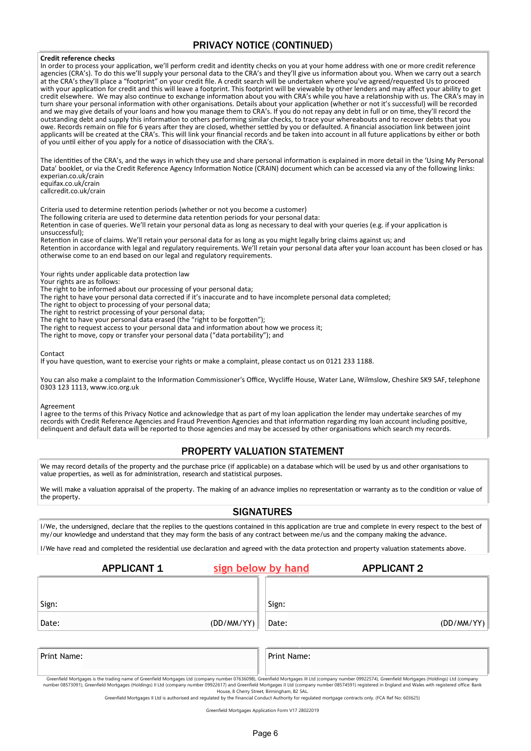#### PRIVACY NOTICE (CONTINUED)

#### **Credit reference checks**

In order to process your applicaton, we'll perform credit and identty checks on you at your home address with one or more credit reference agencies (CRA's). To do this we'll supply your personal data to the CRA's and they'll give us information about you. When we carry out a search at the CRA's they'll place a "footprint" on your credit fle. A credit search will be undertaken where you've agreed/requested Us to proceed with your applicaton for credit and this will leave a footprint. This footprint will be viewable by other lenders and may afect your ability to get credit elsewhere. We may also continue to exchange information about you with CRA's while you have a relationship with us. The CRA's may in turn share your personal information with other organisations. Details about your application (whether or not it's successful) will be recorded and we may give details of your loans and how you manage them to CRA's. If you do not repay any debt in full or on tme, they'll record the outstanding debt and supply this informaton to others performing similar checks, to trace your whereabouts and to recover debts that you owe. Records remain on fle for 6 years afer they are closed, whether setled by you or defaulted. A fnancial associaton link between joint applicants will be created at the CRA's. This will link your fnancial records and be taken into account in all future applicatons by either or both of you until either of you apply for a notice of disassociation with the CRA's.

The identities of the CRA's, and the ways in which they use and share personal information is explained in more detail in the 'Using My Personal Data' booklet, or via the Credit Reference Agency Informaton Notce (CRAIN) document which can be accessed via any of the following links: experian.co.uk/crain equifax.co.uk/crain

callcredit.co.uk/crain

Criteria used to determine retenton periods (whether or not you become a customer)

The following criteria are used to determine data retenton periods for your personal data:

Retenton in case of queries. We'll retain your personal data as long as necessary to deal with your queries (e.g. if your applicaton is unsuccessful);

Retention in case of claims. We'll retain your personal data for as long as you might legally bring claims against us; and Retenton in accordance with legal and regulatory requirements. We'll retain your personal data afer your loan account has been closed or has otherwise come to an end based on our legal and regulatory requirements.

Your rights under applicable data protection law

Your rights are as follows:

The right to be informed about our processing of your personal data;

The right to have your personal data corrected if it's inaccurate and to have incomplete personal data completed;

The right to object to processing of your personal data;

The right to restrict processing of your personal data;

- The right to have your personal data erased (the "right to be forgotten");
- The right to request access to your personal data and information about how we process it;
- The right to move, copy or transfer your personal data ("data portability"); and

#### Contact

If you have question, want to exercise your rights or make a complaint, please contact us on 0121 233 1188.

You can also make a complaint to the Information Commissioner's Office, Wycliffe House, Water Lane, Wilmslow, Cheshire SK9 SAF, telephone 0303 123 1113, www.ico.org.uk

Agreement

I agree to the terms of this Privacy Notice and acknowledge that as part of my loan application the lender may undertake searches of my records with Credit Reference Agencies and Fraud Preventon Agencies and that informaton regarding my loan account including positve, delinquent and default data will be reported to those agencies and may be accessed by other organisatons which search my records.

#### PROPERTY VALUATION STATEMENT

We may record details of the property and the purchase price (if applicable) on a database which will be used by us and other organisations to value properties, as well as for administration, research and statistical purposes.

We will make a valuation appraisal of the property. The making of an advance implies no representation or warranty as to the condition or value of the property.

#### **SIGNATURES**

I/We, the undersigned, declare that the replies to the questions contained in this application are true and complete in every respect to the best of my/our knowledge and understand that they may form the basis of any contract between me/us and the company making the advance.

I/We have read and completed the residential use declaration and agreed with the data protection and property valuation statements above.

|       | <b>APPLICANT 1</b> | sign below by hand |       | <b>APPLICANT 2</b> |            |
|-------|--------------------|--------------------|-------|--------------------|------------|
|       |                    |                    |       |                    |            |
| Sign: |                    |                    | Sign: |                    |            |
| Date: |                    | (DD/MM/YY)         | Date: |                    | (DD/MM/YY) |
|       |                    |                    |       |                    |            |
|       |                    |                    |       |                    |            |

Print Name: Print Name:

Greenfield Mortgages is the trading name of Greenfield Mortgages Ltd (company number 07636098), Greenfield Mortgages III Ltd (company number 09922574), Greenfield Mortgages (Holdings) Ltd (company number 08573091), Greenfield Mortgages (Holdings) II Ltd (company number 09922617) and Greenfield Mortgages II Ltd (company number 08574591) registered in England and Wales with registered office: Bank House, 8 Cherry Street, Birmingham, B2 5AL.

Greenfield Mortgages II Ltd is authorised and regulated by the Financial Conduct Authority for regulated mortgage contracts only. (FCA Ref No: 603625)

Greenfield Mortgages Application Form V17 28022019